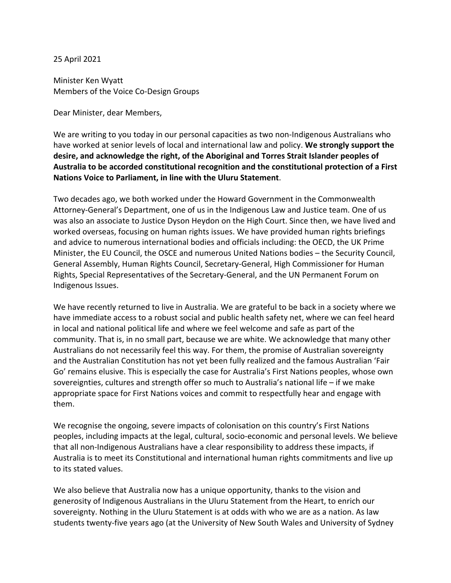25 April 2021

Minister Ken Wyatt Members of the Voice Co-Design Groups

Dear Minister, dear Members,

We are writing to you today in our personal capacities as two non-Indigenous Australians who have worked at senior levels of local and international law and policy. **We strongly support the desire, and acknowledge the right, of the Aboriginal and Torres Strait Islander peoples of Australia to be accorded constitutional recognition and the constitutional protection of a First Nations Voice to Parliament, in line with the Uluru Statement**.

Two decades ago, we both worked under the Howard Government in the Commonwealth Attorney-General's Department, one of us in the Indigenous Law and Justice team. One of us was also an associate to Justice Dyson Heydon on the High Court. Since then, we have lived and worked overseas, focusing on human rights issues. We have provided human rights briefings and advice to numerous international bodies and officials including: the OECD, the UK Prime Minister, the EU Council, the OSCE and numerous United Nations bodies – the Security Council, General Assembly, Human Rights Council, Secretary-General, High Commissioner for Human Rights, Special Representatives of the Secretary-General, and the UN Permanent Forum on Indigenous Issues.

We have recently returned to live in Australia. We are grateful to be back in a society where we have immediate access to a robust social and public health safety net, where we can feel heard in local and national political life and where we feel welcome and safe as part of the community. That is, in no small part, because we are white. We acknowledge that many other Australians do not necessarily feel this way. For them, the promise of Australian sovereignty and the Australian Constitution has not yet been fully realized and the famous Australian 'Fair Go' remains elusive. This is especially the case for Australia's First Nations peoples, whose own sovereignties, cultures and strength offer so much to Australia's national life – if we make appropriate space for First Nations voices and commit to respectfully hear and engage with them.

We recognise the ongoing, severe impacts of colonisation on this country's First Nations peoples, including impacts at the legal, cultural, socio-economic and personal levels. We believe that all non-Indigenous Australians have a clear responsibility to address these impacts, if Australia is to meet its Constitutional and international human rights commitments and live up to its stated values.

We also believe that Australia now has a unique opportunity, thanks to the vision and generosity of Indigenous Australians in the Uluru Statement from the Heart, to enrich our sovereignty. Nothing in the Uluru Statement is at odds with who we are as a nation. As law students twenty-five years ago (at the University of New South Wales and University of Sydney